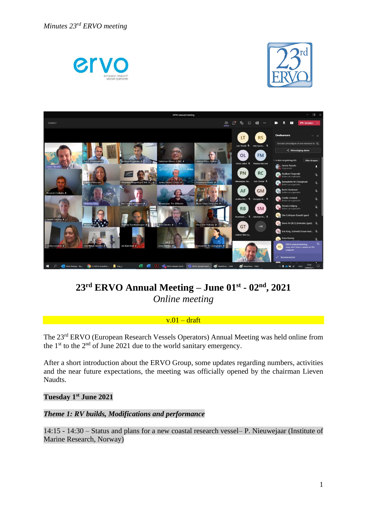





# **23rd ERVO Annual Meeting – June 01st - 02nd, 2021**  *Online meeting*

### $v.01 - dr$ aft

The 23<sup>rd</sup> ERVO (European Research Vessels Operators) Annual Meeting was held online from the 1<sup>st</sup> to the  $2<sup>nd</sup>$  of June 2021 due to the world sanitary emergency.

After a short introduction about the ERVO Group, some updates regarding numbers, activities and the near future expectations, the meeting was officially opened by the chairman Lieven Naudts.

#### **Tuesday 1 st June 2021**

#### *Theme 1: RV builds, Modifications and performance*

14:15 - 14:30 – Status and plans for a new coastal research vessel– P. Nieuwejaar (Institute of Marine Research, Norway)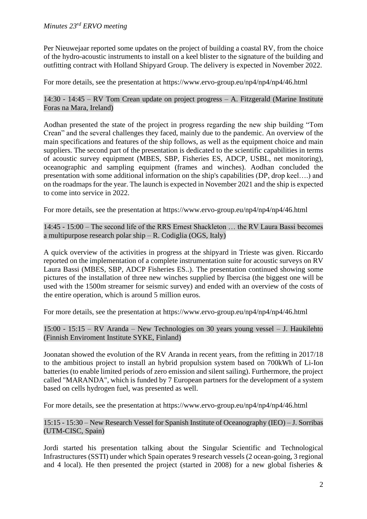Per Nieuwejaar reported some updates on the project of building a coastal RV, from the choice of the hydro-acoustic instruments to install on a keel blister to the signature of the building and outfitting contract with Holland Shipyard Group. The delivery is expected in November 2022.

For more details, see the presentation at https://www.ervo-group.eu/np4/np4/np4/46.html

14:30 - 14:45 – RV Tom Crean update on project progress – A. Fitzgerald (Marine Institute Foras na Mara, Ireland)

Aodhan presented the state of the project in progress regarding the new ship building "Tom Crean" and the several challenges they faced, mainly due to the pandemic. An overview of the main specifications and features of the ship follows, as well as the equipment choice and main suppliers. The second part of the presentation is dedicated to the scientific capabilities in terms of acoustic survey equipment (MBES, SBP, Fisheries ES, ADCP, USBL, net monitoring), oceanographic and sampling equipment (frames and winches). Aodhan concluded the presentation with some additional information on the ship's capabilities (DP, drop keel….) and on the roadmaps for the year. The launch is expected in November 2021 and the ship is expected to come into service in 2022.

For more details, see the presentation at https://www.ervo-group.eu/np4/np4/np4/46.html

14:45 - 15:00 – The second life of the RRS Ernest Shackleton … the RV Laura Bassi becomes a multipurpose research polar ship – R. Codiglia (OGS, Italy)

A quick overview of the activities in progress at the shipyard in Trieste was given. Riccardo reported on the implementation of a complete instrumentation suite for acoustic surveys on RV Laura Bassi (MBES, SBP, ADCP Fisheries ES..). The presentation continued showing some pictures of the installation of three new winches supplied by Ibercisa (the biggest one will be used with the 1500m streamer for seismic survey) and ended with an overview of the costs of the entire operation, which is around 5 million euros.

For more details, see the presentation at https://www.ervo-group.eu/np4/np4/np4/46.html

15:00 - 15:15 – RV Aranda – New Technologies on 30 years young vessel – J. Haukilehto (Finnish Enviroment Institute SYKE, Finland)

Joonatan showed the evolution of the RV Aranda in recent years, from the refitting in 2017/18 to the ambitious project to install an hybrid propulsion system based on 700kWh of Li-Ion batteries (to enable limited periods of zero emission and silent sailing). Furthermore, the project called "MARANDA", which is funded by 7 European partners for the development of a system based on cells hydrogen fuel, was presented as well.

For more details, see the presentation at https://www.ervo-group.eu/np4/np4/np4/46.html

15:15 - 15:30 – New Research Vessel for Spanish Institute of Oceanography (IEO) – J. Sorribas (UTM-CISC, Spain)

Jordi started his presentation talking about the Singular Scientific and Technological Infrastructures (SSTI) under which Spain operates 9 research vessels (2 ocean-going, 3 regional and 4 local). He then presented the project (started in 2008) for a new global fisheries &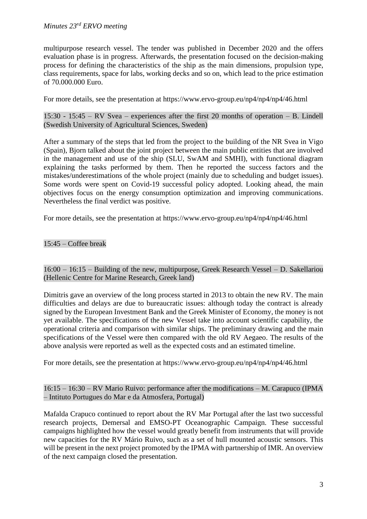# *Minutes 23rd ERVO meeting*

multipurpose research vessel. The tender was published in December 2020 and the offers evaluation phase is in progress. Afterwards, the presentation focused on the decision-making process for defining the characteristics of the ship as the main dimensions, propulsion type, class requirements, space for labs, working decks and so on, which lead to the price estimation of 70.000.000 Euro.

For more details, see the presentation at https://www.ervo-group.eu/np4/np4/np4/46.html

15:30 - 15:45 – RV Svea – experiences after the first 20 months of operation – B. Lindell (Swedish University of Agricultural Sciences, Sweden)

After a summary of the steps that led from the project to the building of the NR Svea in Vigo (Spain), Bjorn talked about the joint project between the main public entities that are involved in the management and use of the ship (SLU, SwAM and SMHI), with functional diagram explaining the tasks performed by them. Then he reported the success factors and the mistakes/underestimations of the whole project (mainly due to scheduling and budget issues). Some words were spent on Covid-19 successful policy adopted. Looking ahead, the main objectives focus on the energy consumption optimization and improving communications. Nevertheless the final verdict was positive.

For more details, see the presentation at https://www.ervo-group.eu/np4/np4/np4/46.html

### 15:45 – Coffee break

16:00 – 16:15 – Building of the new, multipurpose, Greek Research Vessel – D. Sakellariou (Hellenic Centre for Marine Research, Greek land)

Dimitris gave an overview of the long process started in 2013 to obtain the new RV. The main difficulties and delays are due to bureaucratic issues: although today the contract is already signed by the European Investment Bank and the Greek Minister of Economy, the money is not yet available. The specifications of the new Vessel take into account scientific capability, the operational criteria and comparison with similar ships. The preliminary drawing and the main specifications of the Vessel were then compared with the old RV Aegaeo. The results of the above analysis were reported as well as the expected costs and an estimated timeline.

For more details, see the presentation at https://www.ervo-group.eu/np4/np4/np4/46.html

### 16:15 – 16:30 – RV Mario Ruivo: performance after the modifications – M. Carapuco (IPMA – Intituto Portugues do Mar e da Atmosfera, Portugal)

Mafalda Crapuco continued to report about the RV Mar Portugal after the last two successful research projects, Demersal and EMSO-PT Oceanographic Campaign. These successful campaigns highlighted how the vessel would greatly benefit from instruments that will provide new capacities for the RV Mário Ruivo, such as a set of hull mounted acoustic sensors. This will be present in the next project promoted by the IPMA with partnership of IMR. An overview of the next campaign closed the presentation.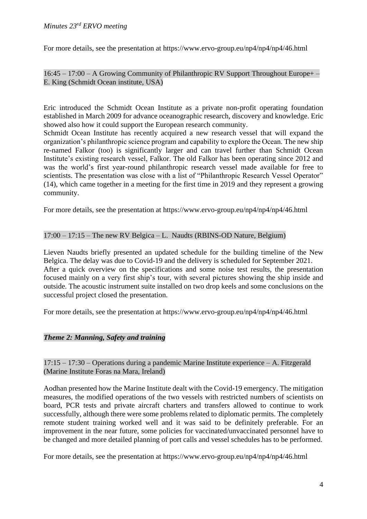For more details, see the presentation at https://www.ervo-group.eu/np4/np4/np4/46.html

16:45 – 17:00 – A Growing Community of Philanthropic RV Support Throughout Europe+ – E. King (Schmidt Ocean institute, USA)

Eric introduced the Schmidt Ocean Institute as a private non-profit operating foundation established in March 2009 for advance oceanographic research, discovery and knowledge. Eric showed also how it could support the European research community.

Schmidt Ocean Institute has recently acquired a new research vessel that will expand the organization's philanthropic science program and capability to explore the Ocean. The new ship re-named Falkor (too) is significantly larger and can travel further than Schmidt Ocean Institute's existing research vessel, Falkor. The old Falkor has been operating since 2012 and was the world's first year-round philanthropic research vessel made available for free to scientists. The presentation was close with a list of "Philanthropic Research Vessel Operator" (14), which came together in a meeting for the first time in 2019 and they represent a growing community.

For more details, see the presentation at https://www.ervo-group.eu/np4/np4/np4/46.html

# 17:00 – 17:15 – The new RV Belgica – L. Naudts (RBINS-OD Nature, Belgium)

Lieven Naudts briefly presented an updated schedule for the building timeline of the New Belgica. The delay was due to Covid-19 and the delivery is scheduled for September 2021. After a quick overview on the specifications and some noise test results, the presentation focused mainly on a very first ship's tour, with several pictures showing the ship inside and outside. The acoustic instrument suite installed on two drop keels and some conclusions on the successful project closed the presentation.

For more details, see the presentation at https://www.ervo-group.eu/np4/np4/np4/46.html

### *Theme 2: Manning, Safety and training*

### 17:15 – 17:30 – Operations during a pandemic Marine Institute experience – A. Fitzgerald (Marine Institute Foras na Mara, Ireland)

Aodhan presented how the Marine Institute dealt with the Covid-19 emergency. The mitigation measures, the modified operations of the two vessels with restricted numbers of scientists on board, PCR tests and private aircraft charters and transfers allowed to continue to work successfully, although there were some problems related to diplomatic permits. The completely remote student training worked well and it was said to be definitely preferable. For an improvement in the near future, some policies for vaccinated/unvaccinated personnel have to be changed and more detailed planning of port calls and vessel schedules has to be performed.

For more details, see the presentation at https://www.ervo-group.eu/np4/np4/np4/46.html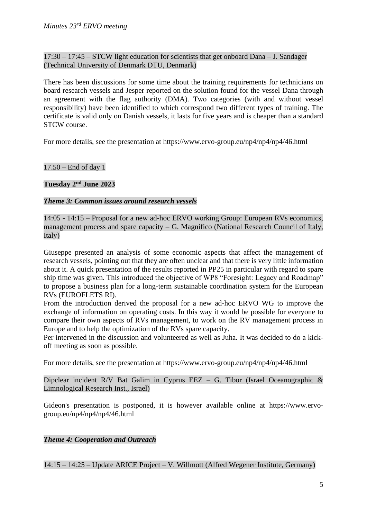17:30 – 17:45 – STCW light education for scientists that get onboard Dana – J. Sandager (Technical University of Denmark DTU, Denmark)

There has been discussions for some time about the training requirements for technicians on board research vessels and Jesper reported on the solution found for the vessel Dana through an agreement with the flag authority (DMA). Two categories (with and without vessel responsibility) have been identified to which correspond two different types of training. The certificate is valid only on Danish vessels, it lasts for five years and is cheaper than a standard STCW course.

For more details, see the presentation at https://www.ervo-group.eu/np4/np4/np4/46.html

17.50 – End of day 1

**Tuesday 2 nd June 2023**

## *Theme 3: Common issues around research vessels*

14:05 - 14:15 – Proposal for a new ad-hoc ERVO working Group: European RVs economics, management process and spare capacity – G. Magnifico (National Research Council of Italy, Italy)

Giuseppe presented an analysis of some economic aspects that affect the management of research vessels, pointing out that they are often unclear and that there is very little information about it. A quick presentation of the results reported in PP25 in particular with regard to spare ship time was given. This introduced the objective of WP8 "Foresight: Legacy and Roadmap" to propose a business plan for a long-term sustainable coordination system for the European RVs (EUROFLETS RI).

From the introduction derived the proposal for a new ad-hoc ERVO WG to improve the exchange of information on operating costs. In this way it would be possible for everyone to compare their own aspects of RVs management, to work on the RV management process in Europe and to help the optimization of the RVs spare capacity.

Per intervened in the discussion and volunteered as well as Juha. It was decided to do a kickoff meeting as soon as possible.

For more details, see the presentation at https://www.ervo-group.eu/np4/np4/np4/46.html

Dipclear incident R/V Bat Galim in Cyprus EEZ – G. Tibor (Israel Oceanographic  $\&$ Limnological Research Inst., Israel)

Gideon's presentation is postponed, it is however available online at https://www.ervogroup.eu/np4/np4/np4/46.html

*Theme 4: Cooperation and Outreach*

14:15 – 14:25 – Update ARICE Project – V. Willmott (Alfred Wegener Institute, Germany)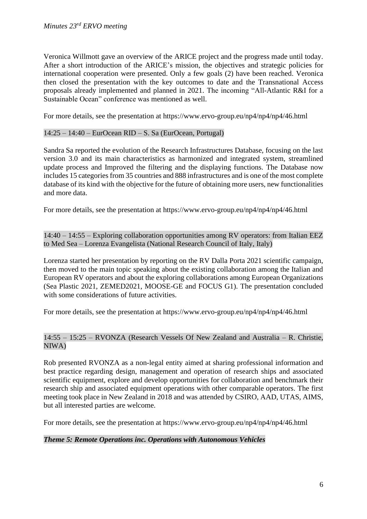Veronica Willmott gave an overview of the ARICE project and the progress made until today. After a short introduction of the ARICE's mission, the objectives and strategic policies for international cooperation were presented. Only a few goals (2) have been reached. Veronica then closed the presentation with the key outcomes to date and the Transnational Access proposals already implemented and planned in 2021. The incoming "All-Atlantic R&I for a Sustainable Ocean" conference was mentioned as well.

For more details, see the presentation at https://www.ervo-group.eu/np4/np4/np4/46.html

### 14:25 – 14:40 – EurOcean RID – S. Sa (EurOcean, Portugal)

Sandra Sa reported the evolution of the Research Infrastructures Database, focusing on the last version 3.0 and its main characteristics as harmonized and integrated system, streamlined update process and Improved the filtering and the displaying functions. The Database now includes 15 categories from 35 countries and 888 infrastructures and is one of the most complete database of its kind with the objective for the future of obtaining more users, new functionalities and more data.

For more details, see the presentation at https://www.ervo-group.eu/np4/np4/np4/46.html

14:40 – 14:55 – Exploring collaboration opportunities among RV operators: from Italian EEZ to Med Sea – Lorenza Evangelista (National Research Council of Italy, Italy)

Lorenza started her presentation by reporting on the RV Dalla Porta 2021 scientific campaign, then moved to the main topic speaking about the existing collaboration among the Italian and European RV operators and about the exploring collaborations among European Organizations (Sea Plastic 2021, ZEMED2021, MOOSE-GE and FOCUS G1). The presentation concluded with some considerations of future activities.

For more details, see the presentation at https://www.ervo-group.eu/np4/np4/np4/46.html

## 14:55 – 15:25 – RVONZA (Research Vessels Of New Zealand and Australia – R. Christie, NIWA)

Rob presented RVONZA as a non-legal entity aimed at sharing professional information and best practice regarding design, management and operation of research ships and associated scientific equipment, explore and develop opportunities for collaboration and benchmark their research ship and associated equipment operations with other comparable operators. The first meeting took place in New Zealand in 2018 and was attended by CSIRO, AAD, UTAS, AIMS, but all interested parties are welcome.

For more details, see the presentation at https://www.ervo-group.eu/np4/np4/np4/46.html

# *Theme 5: Remote Operations inc. Operations with Autonomous Vehicles*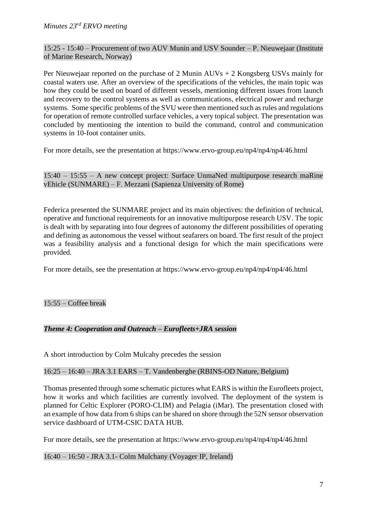15:25 - 15:40 – Procurement of two AUV Munin and USV Sounder – P. Nieuwejaar (Institute of Marine Research, Norway)

Per Nieuwejaar reported on the purchase of 2 Munin AUVs + 2 Kongsberg USVs mainly for coastal waters use. After an overview of the specifications of the vehicles, the main topic was how they could be used on board of different vessels, mentioning different issues from launch and recovery to the control systems as well as communications, electrical power and recharge systems. Some specific problems of the SVU were then mentioned such as rules and regulations for operation of remote controlled surface vehicles, a very topical subject. The presentation was concluded by mentioning the intention to build the command, control and communication systems in 10-foot container units.

For more details, see the presentation at https://www.ervo-group.eu/np4/np4/np4/46.html

15:40 – 15:55 – A new concept project: Surface UnmaNed multipurpose research maRine vEhicle (SUNMARE) – F. Mezzani (Sapienza University of Rome)

Federica presented the SUNMARE project and its main objectives: the definition of technical, operative and functional requirements for an innovative multipurpose research USV. The topic is dealt with by separating into four degrees of autonomy the different possibilities of operating and defining as autonomous the vessel without seafarers on board. The first result of the project was a feasibility analysis and a functional design for which the main specifications were provided.

For more details, see the presentation at https://www.ervo-group.eu/np4/np4/np4/46.html

# 15:55 – Coffee break

# *Theme 4: Cooperation and Outreach – Eurofleets+JRA session*

A short introduction by Colm Mulcahy precedes the session

# 16:25 – 16:40 – JRA 3.1 EARS – T. Vandenberghe (RBINS-OD Nature, Belgium)

Thomas presented through some schematic pictures what EARS is within the Eurofleets project, how it works and which facilities are currently involved. The deployment of the system is planned for Celtic Explorer (PORO-CLIM) and Pelagia (iMar). The presentation closed with an example of how data from 6 ships can be shared on shore through the 52N sensor observation service dashboard of UTM-CSIC DATA HUB.

For more details, see the presentation at https://www.ervo-group.eu/np4/np4/np4/46.html

### 16:40 – 16:50 - JRA 3.1- Colm Mulchany (Voyager IP, Ireland)